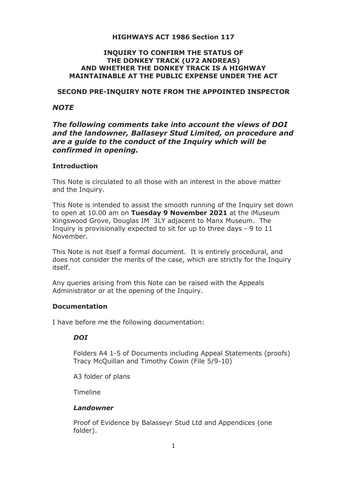### **HIGHWAYS ACT 1986 Section 117**

### **INQUIRY TO CONFIRM THE STATUS OF THE DONKEY TRACK (U72 ANDREAS) AND WHETHER THE DONKEY TRACK IS A HIGHWAY MAINTAINABLE AT THE PUBLIC EXPENSE UNDER THE ACT**

#### **SECOND PRE-INQUIRY NOTE FROM THE APPOINTED INSPECTOR**

### *NOTE*

# *The following comments take into account the views of DOI and the landowner, Ballaseyr Stud Limited, on procedure and are a guide to the conduct of the Inquiry which will be confirmed in opening.*

### **Introduction**

This Note is circulated to all those with an interest in the above matter and the Inquiry.

This Note is intended to assist the smooth running of the Inquiry set down to open at 10.00 am on **Tuesday 9 November 2021** at the iMuseum Kingswood Grove, Douglas IM 3LY adjacent to Manx Museum. The Inquiry is provisionally expected to sit for up to three days - 9 to 11 November.

This Note is not itself a formal document. It is entirely procedural, and does not consider the merits of the case, which are strictly for the Inquiry itself.

Any queries arising from this Note can be raised with the Appeals Administrator or at the opening of the Inquiry.

### **Documentation**

I have before me the following documentation:

### *DOI*

Folders A4 1-5 of Documents including Appeal Statements (proofs) Tracy McQuillan and Timothy Cowin (File 5/9-10)

A3 folder of plans

Timeline

#### *Landowner*

Proof of Evidence by Balasseyr Stud Ltd and Appendices (one folder).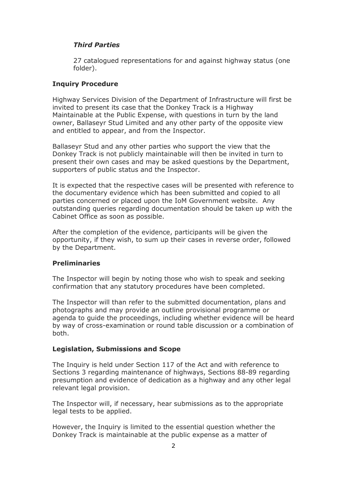## *Third Parties*

27 catalogued representations for and against highway status (one folder).

### **Inquiry Procedure**

Highway Services Division of the Department of Infrastructure will first be invited to present its case that the Donkey Track is a Highway Maintainable at the Public Expense, with questions in turn by the land owner, Ballaseyr Stud Limited and any other party of the opposite view and entitled to appear, and from the Inspector.

Ballaseyr Stud and any other parties who support the view that the Donkey Track is not publicly maintainable will then be invited in turn to present their own cases and may be asked questions by the Department, supporters of public status and the Inspector.

It is expected that the respective cases will be presented with reference to the documentary evidence which has been submitted and copied to all parties concerned or placed upon the IoM Government website. Any outstanding queries regarding documentation should be taken up with the Cabinet Office as soon as possible.

After the completion of the evidence, participants will be given the opportunity, if they wish, to sum up their cases in reverse order, followed by the Department.

### **Preliminaries**

The Inspector will begin by noting those who wish to speak and seeking confirmation that any statutory procedures have been completed.

The Inspector will than refer to the submitted documentation, plans and photographs and may provide an outline provisional programme or agenda to guide the proceedings, including whether evidence will be heard by way of cross-examination or round table discussion or a combination of both.

### **Legislation, Submissions and Scope**

The Inquiry is held under Section 117 of the Act and with reference to Sections 3 regarding maintenance of highways, Sections 88-89 regarding presumption and evidence of dedication as a highway and any other legal relevant legal provision.

The Inspector will, if necessary, hear submissions as to the appropriate legal tests to be applied.

However, the Inquiry is limited to the essential question whether the Donkey Track is maintainable at the public expense as a matter of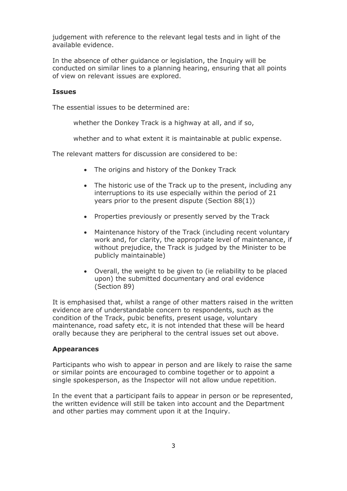judgement with reference to the relevant legal tests and in light of the available evidence.

In the absence of other guidance or legislation, the Inquiry will be conducted on similar lines to a planning hearing, ensuring that all points of view on relevant issues are explored.

#### **Issues**

The essential issues to be determined are:

whether the Donkey Track is a highway at all, and if so.

whether and to what extent it is maintainable at public expense.

The relevant matters for discussion are considered to be:

- The origins and history of the Donkey Track
- The historic use of the Track up to the present, including any interruptions to its use especially within the period of 21 years prior to the present dispute (Section 88(1))
- Properties previously or presently served by the Track
- Maintenance history of the Track (including recent voluntary work and, for clarity, the appropriate level of maintenance, if without prejudice, the Track is judged by the Minister to be publicly maintainable)
- Overall, the weight to be given to (ie reliability to be placed upon) the submitted documentary and oral evidence (Section 89)

It is emphasised that, whilst a range of other matters raised in the written evidence are of understandable concern to respondents, such as the condition of the Track, pubic benefits, present usage, voluntary maintenance, road safety etc, it is not intended that these will be heard orally because they are peripheral to the central issues set out above.

#### **Appearances**

Participants who wish to appear in person and are likely to raise the same or similar points are encouraged to combine together or to appoint a single spokesperson, as the Inspector will not allow undue repetition.

In the event that a participant fails to appear in person or be represented, the written evidence will still be taken into account and the Department and other parties may comment upon it at the Inquiry.